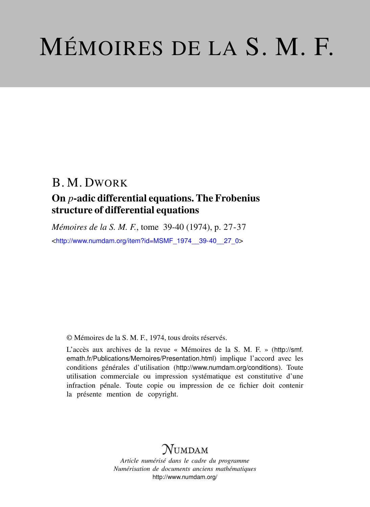# MÉMOIRES DE LA S. M. F.

# B. M. DWORK

## On *p*-adic differential equations. The Frobenius structure of differential equations

*Mémoires de la S. M. F.*, tome 39-40 (1974), p. 27-37 <[http://www.numdam.org/item?id=MSMF\\_1974\\_\\_39-40\\_\\_27\\_0](http://www.numdam.org/item?id=MSMF_1974__39-40__27_0)>

© Mémoires de la S. M. F., 1974, tous droits réservés.

L'accès aux archives de la revue « Mémoires de la S. M. F. » ([http://smf.](http://smf.emath.fr/Publications/Memoires/Presentation.html) [emath.fr/Publications/Memoires/Presentation.html](http://smf.emath.fr/Publications/Memoires/Presentation.html)) implique l'accord avec les conditions générales d'utilisation (<http://www.numdam.org/conditions>). Toute utilisation commerciale ou impression systématique est constitutive d'une infraction pénale. Toute copie ou impression de ce fichier doit contenir la présente mention de copyright.

## **NUMDAM**

*Article numérisé dans le cadre du programme Numérisation de documents anciens mathématiques* <http://www.numdam.org/>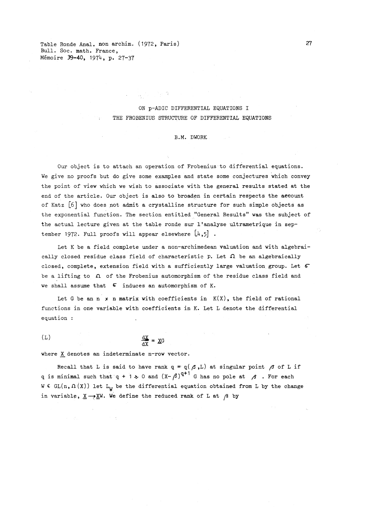Table Ronde Anal. non archim. (1972, Paris) 27 Bull. Soc. math. France, Memoire 39-40, 1974. p. 27-37

#### ON p-ADIC DIFFERENTIAL EQUATIONS I THE FROBENIUS STRUCTURE OF DIFFERENTIAL EQUATIONS

#### B.M. DWORK

Our object is to attach an operation of Frobenius to differential equations. We give no proofs but do give some examples and state some conjectures which convey the point of view which we wish to associate with the general results stated at the end of the article. Our object is also to broaden in certain respects the account of Katz [6] who does not admit a crystalline structure for such simple objects as the exponential function. The section entitled "General Results" was the subject of the actual lecture given at the table ronde sur l'analyse ultrametrique in september 1972. Full proofs will appear elsewhere  $\begin{bmatrix} 4, 5 \end{bmatrix}$ .

Let K be a field complete under a non-archimedean valuation and with algebraically closed residue class field of characteristic p. Let  $\Omega$  be an algebraically closed, complete, extension field with a sufficiently large valuation group. Let  $6$ be a lifting to *Ci* of the Frobenius automorphism of the residue class field and we shall assume that  $6$  induces an automorphism of K.

Let G be an  $n \times n$  matrix with coefficients in  $K(X)$ , the field of rational functions in one variable with coefficients in K. Let L denote the differential equation :

 $(L)$  dx  $\frac{dX}{dx} = X$ 

where X denotes an indeterminate n-row vector.

Recall that L is said to have rank  $q = q(\beta, L)$  at singular point  $\beta$  of L if q is minimal such that  $q + 1 \ge 0$  and  $(X-\beta)^{q+1}$  G has no pole at  $\beta$ . For each W  $\epsilon$  GL(n,  $\Omega(X)$ ) let  $L_U$  be the differential equation obtained from L by the change in variable,  $\underline{X} \rightarrow \underline{X}W$ . We define the reduced rank of L at /3 by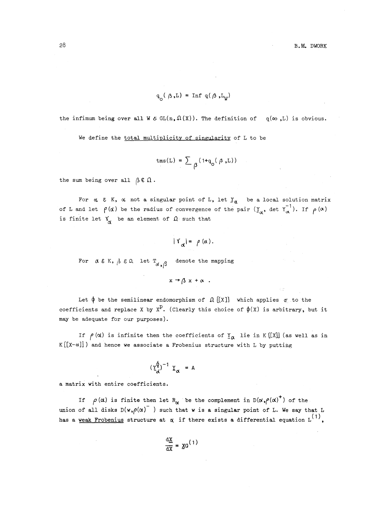$$
\mathbf{q}_\text{o}(\text{ }\boldsymbol{\beta}\text{ },\text{L})\text{ = Inf }\mathbf{q}(\text{ }\boldsymbol{\beta}\text{ },\text{L}_\text{W})
$$

the infimum being over all W  $\mathcal{E}$  GL(n,  $\Omega$ (X)). The definition of  $q(\infty, L)$  is obvious.

We define the total multiplicity of singularity of L to be

$$
\text{tms(L)} = \sum \, \beta^{\,(\,1 + q^{\vphantom{0}}(\beta \,,\mathrm{L}\,))}
$$

the sum being over all  $\beta \in \Omega$ .

For  $\alpha$  & K,  $\alpha$  not a singular point of L, let  $\underline{Y}_{\alpha}$  be a local solution matrix of L and let  $\rho(\alpha)$  be the radius of convergence of the pair  $(Y_{\alpha}, \det Y_{\alpha}^{-1})$ . If  $\rho(\alpha)$  is finite let  $Y_{\alpha}$  be an element of  $\Omega$  such that

$$
|\Upsilon_{\alpha}| = \rho(\alpha).
$$

For  $\alpha \in K$ ,  $\beta \in \Omega$  let  $T_{\alpha}$  denote the mapping

$$
x \rightarrow \beta x + \alpha.
$$

Let  $\phi$  be the semilinear endomorphism of  $\Omega$  [[X]] which applies  $\sigma$  to the Let  $\phi$  be the semilinear endomorphism of  $\mathcal{R}[\mathcal{X}]$ , which applies  $\sigma$  to the coefficients and replace X by  $X^D$ . (Clearly this choice of  $\phi(X)$  is arbitrary, but it may be adequate for our purposes).

If  $\rho(\alpha)$  is infinite then the coefficients of  $\underline{Y}_{\alpha}$  lie in K [[X]] (as well as in  $K\left[\left[X-\alpha\right]\right]$ ) and hence we associate a Frobenius structure with L by putting  $\left(\frac{\sqrt{\phi}}{d}\right)^{-1}$   $\frac{\gamma}{d}$  = A

$$
\left(\underline{\Upsilon}_{d}^{\hat{\Psi}}\right)^{-1} \underline{\Upsilon}_{\alpha} = A
$$

a matrix with entire coefficients.

If  $\rho(\alpha)$  is finite then let R<sub> $\alpha$ </sub> be the complement in D $(\alpha, \rho(\alpha)^+)$  of the union of all disks  $D(w,\rho(\alpha)$ <sup>-</sup>) such that w is a singular point of L. We say that L union of all disks  $D(w, \rho(x))$  is uch that w is a singular point of L. we say that these approaches a differential equation L<sup>(1</sup>

$$
\frac{\mathrm{d}\underline{x}}{\mathrm{d}x} = \underline{x} \mathbf{G}^{(1)}
$$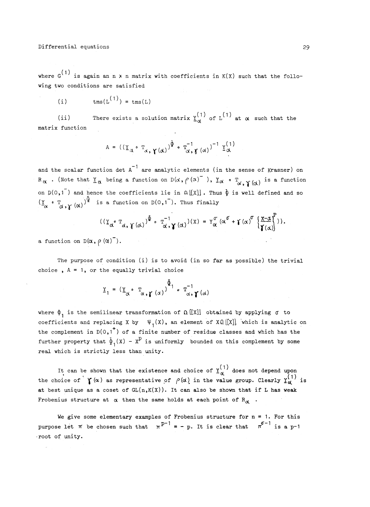where  $G^{(1)}$  is again an n x n matrix with coefficients in  $K(X)$  such that the following two conditions are satisfied

(i)  $\text{tms}(L^{(1)}) = \text{tms}(L)$ 

(ii) There exists a solution matrix  $\frac{1}{\alpha}$  of  $L^{(1)}$  at  $\alpha$  such that the matrix function

$$
A = ((\underline{Y}_{\alpha} \circ T_{\alpha}, \gamma(\alpha))^{\underline{\hat{\varphi}}} \circ T_{\alpha, \gamma(\alpha)}^{-1})^{-1} \underline{Y}_{\alpha}^{(1)}
$$

and the scalar function det  $A^{-1}$  are analytic elements (in the sense of Krasner) on  $R_\alpha$  . (Note that  $\underline{Y}_\alpha$  being a function on  $D(\alpha, \rho(\alpha)^\top$  ),  $\underline{Y}_\alpha \bullet \underline{T}_\alpha$  ,  $\gamma_{(\alpha)}$  is a function on  $D(0,1^-)$  and hence the coefficients lie in  $\Omega [[X]]$ . Thus  $\phi$  is well defined and so  $(\underline{Y} \circ \underline{T} \circ \chi)(\alpha))^{\widehat{\Psi}}$  is a function on D(0,1<sup>-</sup>). Thus finally

$$
((\underline{\Upsilon}_{\alpha} \circ \underline{\Upsilon}_{\alpha}, \gamma(\alpha))^{\bar{\Phi}} \circ \underline{\Upsilon}_{\alpha}^{-1}, \gamma(\alpha))^{(\chi)} = \underline{\Upsilon}_{\alpha}^{\sigma} (\alpha^{\sigma} + \gamma(\alpha)^{\sigma} \left\{ \frac{\chi - \alpha}{\gamma(\alpha)} \right\})).
$$

a function on  $D(\alpha, \rho(\alpha)^T)$ .

The purpose of condition (i) is to avoid (in so far as possible) the trivial choice,  $A = 1$ , or the equally trivial choice

$$
\underline{Y}_1 = (\underline{Y}_{\alpha} \circ \underline{T}_{\alpha, \gamma(\alpha)})^{\hat{\Phi}_1} \circ \underline{T}_{\alpha, \gamma(\alpha)}^{-1}
$$

where  $\phi_1$  is the semilinear transformation of  $\Omega$  [[X]] obtained by applying  $\sigma$  to coefficients and replacing X by  $\psi_1(X)$ , an element of XQ[[X]] which is analytic on the complement in  $D(0,1^+)$  of a finite number of residue classes and which has the further property that  $\tilde{\psi}_1(X)$  -  $X^D$  is uniformly bounded on this complement by some real which is strictly less than unity.

It can be shown that the existence and choice of  $\underline{Y}_{N}^{(1)}$  does not depend upon the choice of  $\gamma(\alpha)$  as representative of  $\rho(\alpha)$  in the value group. Clearly  $\frac{\gamma(1)}{\alpha}$  is at best unique as a coset of  $GL(n,K(X))$ . It can also be shown that if L has weak Frobenius structure at  $\alpha$  then the same holds at each point of R $_{\alpha}$ .

We give some elementary examples of Frobenius structure for  $n = 1$ . For this purpose let  $\pi$  be chosen such that  $\pi^{p-1} = -p$ . It is clear that  $\pi^{q-1}$  is a p-1 •root of unity.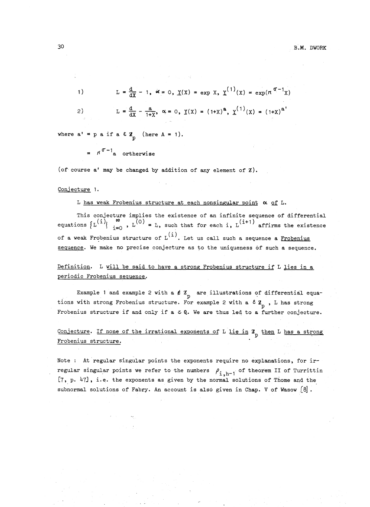1) 
$$
L = \frac{d}{dx} - 1
$$
,  $\alpha = 0$ ,  $\underline{Y}(X) = \exp X$ ,  $\underline{Y}^{(1)}(X) = \exp(\pi^{\sigma-1}X)$   
\n2)  $L = \frac{d}{dx} - \frac{a}{1+x}$ ,  $\alpha = 0$ ,  $\underline{Y}(X) = (1+X)^{a}$ ,  $\underline{Y}^{(1)}(X) = (1+X)^{a}$ 

where  $a' = p a$  if  $a \in \mathbb{Z}_n$  (here  $A = 1$ ).

 $=$   $\pi$ <sup> $\sigma$ -1</sup><sub>a</sub> ortherwise

(of course a' may be changed by addition of any element of Z).

#### Conjecture 1.

#### L has weak Frobenius structure at each nonsingular point  $\alpha$  of L.

This conjecture implies the existence of an infinite sequence of differential<br>equations  $\{L^{(i)}\}_{i=0}^{\infty}$ ,  $L^{(0)} = L$ , such that for each i,  $L^{(i+1)}$  affirms the existence of a weak Frobenius structure of  $L^{(i)}$ . Let us call such a sequence a Frobeniu sequence. We make no precise conjecture as to the uniqueness of such a sequence.

#### Definition. L vill be said to have a strong Frobenius structure if L lies in a periodic Frobenius sequence.

Example 1 and example 2 with a  $f Z_p$  are illustrations of differential equations with strong Frobenius structure. For example 2 with a  $\epsilon \mathbf{z}_{n}$ , L has strong Frobenius structure if and only if a  $\mathcal{E} \mathbb{Q}$ . We are thus led to a further conjecture.

### Conjecture. If none of the irrational exponents of L lie in  $\mathbb{Z}_+$  then L has a strong Frobenius structure.

Note : At regular singular points the exponents require no explanations, for irregular singular points we refer to the numbers  $\rho_{i,h-1}$  of theorem II of Turrittin [7, p. 47], i.e. the exponents as given by the normal solutions of Thome and the subnormal solutions of Fabry. An account is also given in Chap. V of Wasow  $[8]$ .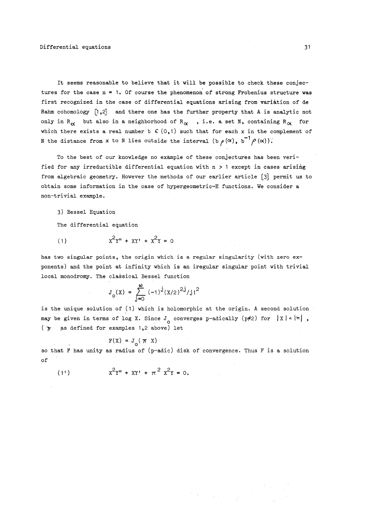It seems reasonable to believe that it will be possible to check these conjectures for the case  $n = 1$ . Of course the phenomenon of strong Frobenius structure was first recognized in the case of differential equations arising from variation of de Rahm cohomology  $[1,2]$  and there one has the further property that A is analytic not only in R<sub> $\alpha$ </sub> but also in a neighborhood of R<sub> $\alpha$ </sub>, i.e. a set N, containing R<sub> $\alpha$ </sub> for which there exists a real number b  $C(0,1)$  such that for each x in the complement of N the distance from x to N lies outside the interval (b  $\rho(\alpha)$ , b<sup>"'</sup> $\rho(\alpha)$ ).

To the best of our knowledge no example of these conjectures has been verified for any irreductible differential equation with n > 1 except in cases arising from algebraic geometry. However the methods of our earlier article [3] permit us to obtain some information in the case of hypergeometric-E functions. We consider a non-trivial example.

3) Bessel Equation

The differential equation

(1)  $X^2Y'' + XY' + X^2Y = 0$ 

has two singular points, the origin which is a regular singularity (with zero exponents) and the point at infinity which is an iregular singular point with trivial local monodromy. The classical Bessel function

$$
J_o(x) = \sum_{j=0}^{\infty} (-1)^{j} (x/2)^{2j} / j1^2
$$

is the unique solution of (1) which is holomorphic at the origin. A second solution may be given in terms of log X. Since  $J_{\alpha}$  converges p-adically (p#2) for  $|X| < |\pi|$ ,  $(\pi$  as defined for examples 1,2 above) let

$$
F(X) = J(\pi X)
$$

so that F has unity as radius of (p-adic) disk of convergence. Thus F is a solution of

 $(1!)$  $x^2y'' + XY' + \pi^2 x^2y = 0.$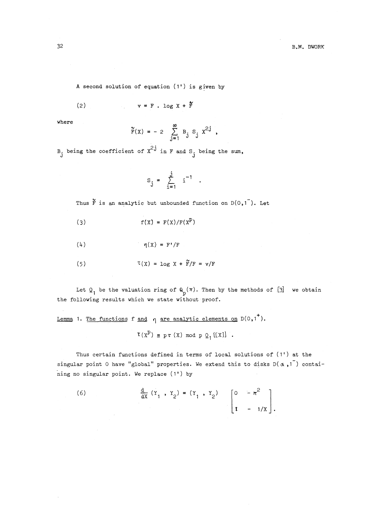A second solution of equation (1') is given by

$$
(2) \t\t\t v = F . \log X + \tilde{F}
$$

where  $\infty$ 

$$
\tilde{F}(x) = -2 \sum_{j=1}^{\infty} B_j S_j x^{2j}
$$
,

B, being the coefficient of  $x^{2,j}$  in F and S<sub>j</sub> being the sum

$$
S_j = \sum_{i=1}^j i^{-1}.
$$

Thus  $\tilde{F}$  is an analytic but unbounded function on  $D(0, 1)$ . Let

$$
f'(x) = F(x)/F(x^P)
$$

( $\mu$ )  $\eta(X) = F'/F$ 

(5) 
$$
\tau(x) = \log x + \widetilde{F}/F = v/F
$$

Let  $Q_1$  be the valuation ring of  $Q_p(\pi)$ . Then by the methods of [3] we obtain the following results which we state without proof.

Lemma 1. The functions f and  $\eta$  are analytic elements on  $D(0,1^+)$ .

 $\tau (x^P) \equiv p \tau (x) \text{ mod } p \ Q_1 [[x]] .$ 

Thus certain functions defined in terms of local solutions of (1') at the singular point 0 have "global" properties. We extend this to disks  $D(\alpha, 1)$  contai-.<br>ning no singular point. We replace (1') by

(6) 
$$
\frac{d}{dx}(Y_1, Y_2) = (Y_1, Y_2)
$$
  $\begin{bmatrix} 0 & -\pi^2 \\ 1 & -1/X \end{bmatrix}$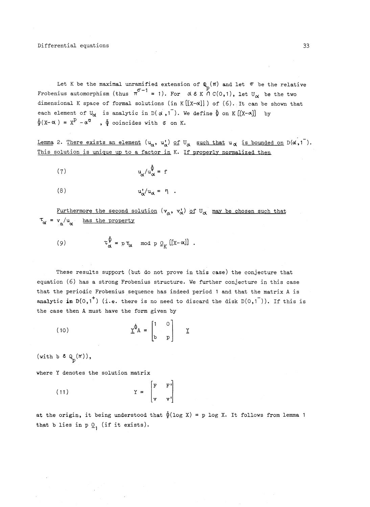Let K be the maximal unramified extension of  $\mathbb{Q}_n(\pi)$  and let  $\sigma$  be the relative Frobenius automorphism (thus  $\pi^{\sigma-1} = 1$ ). For  $\alpha \in K \cap C(0,1)$ , let  $U_{\alpha}$  be the two dimensional K space of formal solutions (in  $K[[X-\alpha]]$ ) of (6). It can be shown that each element of  $U^{\bullet}$  is analytic in  $D(\alpha, 1^{\top})$ . We define  $\oint$  on K  $[[X-\alpha]]$  by  $\oint (X - \alpha) = X^P - \alpha^{\sigma}$ ,  $\oint$  coincides with  $\sigma$  on K.

Lemma 2. There exists an element  $(u_\alpha, u_\alpha')$  of  $U_\alpha$  such that  $u_\alpha$  is bounded on  $D(\alpha,1^-)$ . This solution is unique up to a factor in K. If properly normalized then

$$
\mathbf{u}_{\alpha}/\mathbf{u}_{\alpha}^{\hat{\Phi}} = \mathbf{f}
$$

$$
(8) \t\t\t u_{\alpha}^{\prime}/u_{\alpha} = \eta .
$$

Furthermore the second solution  $(v_\alpha, v_\alpha^!)$  of  $U_\alpha$  may be chosen such that  $\tau_{\alpha}$  =  $v_{a}/u_{\alpha}$  has the property

(9) 
$$
\tau_{\alpha}^{\oint} = p \tau_{\alpha} \mod p \ Q_K [[x-\alpha]]
$$

These results support (but do not prove in this case) the conjecture that equation (6) has a strong Frobenius structure. We further conjecture in this case that the periodic Frobenius sequence has indeed period 1 and that the matrix A is analytic in  $D(0, 1^+)$  (i.e. there is no need to discard the disk  $D(0, 1^-)$ ). If this is the case then A must have the form given by

$$
\underline{\mathbf{Y}}^{\Phi} \mathbf{A} = \begin{bmatrix} 1 & 0 \\ b & p \end{bmatrix} \quad \underline{\mathbf{Y}}
$$

(with b  $\epsilon$   $Q_n(\pi)$ ),

where Y denotes the solution matrix

 $\mathbf F$   $\mathbf F$ (11)  $Y =$ 

at the origin, it being understood that  $\oint (log X) = p log X$ . It follows from lemma 1 that b lies in p  $Q_1$  (if it exists).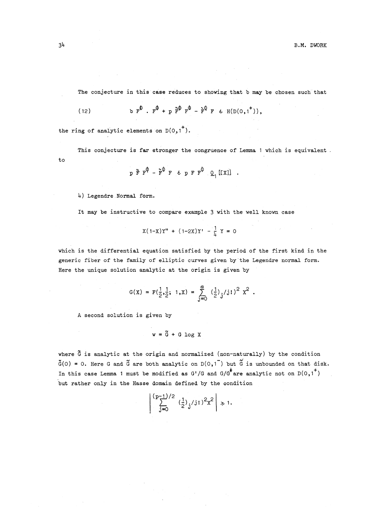The conjecture in this case reduces to showing that b may be chosen such that

$$
(2)
$$

(12) **b**  $F^{\Psi}$  **.**  $F^{\Psi} + p \tilde{F}^{\Psi} F^{\Psi} - \tilde{F}^{\Psi} F \in H(D(0,1^+)),$ 

the ring of analytic elements on  $D(0, 1^+)$ .

This conjecture is far stronger the congruence of Lemma 1 which is equivalent. to

$$
p \tilde{r} r^{\varphi} - \tilde{r}^{\varphi} r \epsilon p r r^{\varphi} q \left[ (x) \right] .
$$

4) Legendre Normal form.

It may be instructive to compare example 3 with the well known case

$$
X(1-X)Y'' + (1-2X)Y' - \frac{1}{4}Y = 0
$$

which is the differential equation satisfied by the period of the first kind in the generic fiber of the family of elliptic curves given by the Legendre normal form. Here the unique solution analytic at the origin is given by

$$
G(x) = F(\frac{1}{2}, \frac{1}{2}; 1, x) = \sum_{j=0}^{\infty} (\frac{1}{2})_j / j! )^2 x^2.
$$

A second solution is given by

$$
w = \tilde{G} + G \log X
$$

where  $\tilde{G}$  is analytic at the origin and normalized (non-naturally) by the condition  $\tilde{G}(0) = 0$ . Here G and  $\tilde{G}$  are both analytic on  $D(0,1)$  but  $\tilde{G}$  is unbounded on that disk. In this case Lemma 1 must be modified as G'/G and G/G<sup>6</sup> are analytic not on  $D(0, 1^+)$ but rather only in the Hasse domain defined by the condition

$$
\left|\sum_{j=0}^{(p-1)/2} \left(\frac{1}{2}\right)_j / j! \right|^2 x^2 \right| \gg 1.
$$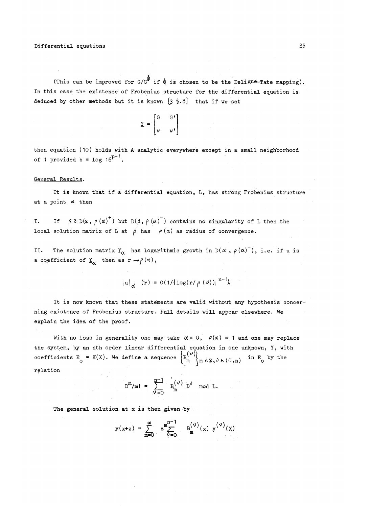(This can be improved for  $G/G^{\hat{\Psi}}$  if  $\hat{\Phi}$  is chosen to be the Deligne-Tate mapping). In this case the existence of Frobenius structure for the differential equation is deduced by other methods but it is known  $[3 \tS.8]$  that if we set

$$
\overline{K} = \begin{bmatrix} M & M_1 \\ Q & G_1 \end{bmatrix}
$$

then equation (10 ) holds with A analytic everywhere except in a small neighborhood of 1 provided b =  $\log 16^{p-1}$ .

#### General Results.

It is known that if a differential equation, L, has strong Frobenius structure at a point  $\alpha$  then

I. If  $\beta \ge D(\alpha, \rho(\alpha)^+)$  but  $D(\beta, \rho(\alpha)^-)$  contains no singularity of L then the local solution matrix of L at  $\beta$  has  $\rho(\alpha)$  as radius of convergence.

II. The solution matrix  $Y^{\alpha}$  has logarithmic growth in D( $\alpha$ ,  $\rho(\alpha)$ ), i.e. if u is a coefficient of  $Y_{\alpha}$  then as  $r \rightarrow \rho(\alpha)$ ,

$$
|u|_{\alpha}
$$
 (r) = 0(1/log(r/\rho(\alpha)))<sup>n-1</sup>).

It is now known that these statements are valid without any hypothesis concerning existence of Frobenius structure. Full details will appear elsewhere. We explain the idea of the proof.

With no loss in generality one may take  $\alpha = 0$ ,  $\rho(\alpha) = 1$  and one may replace the system, by an nth order linear differential equation in one unknown, Y, with coefficients  $E_0 = K(X)$ . We define a sequence  $\begin{cases} B_m^{(\nu)} \\ B_m \ (m \ \varepsilon \ Z, \nu \varepsilon (0, n) \end{cases}$  in  $E_0$  by the relation

$$
D^m/m! = \sum_{\nu=0}^{n-1} B_m^{(\nu)} D^{\nu} \mod L.
$$

The general solution at x is then given by

$$
y(x+z) = \sum_{m=0}^{\infty} z_{y=0}^{m-1} B_{m}^{(\nu)}(x) y^{(\nu)}(x)
$$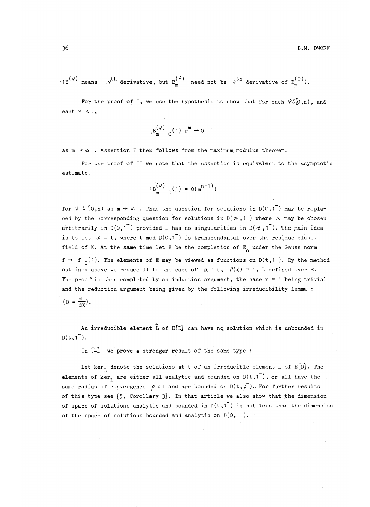$$
(x^{(\nu)} \text{ means } \nu^{th} \text{ derivative, but } B_m^{(\nu)} \text{ need not be } \nu^{th} \text{ derivative of } B_m^{(0)}).
$$

For the proof of I, we use the hypothesis to show that for each  $\aleph \mathcal{C}(0,n)$ , and each  $r \leq 1$ ,

$$
|B_m^{(\vee)}|_0(1) r^m \to 0
$$

as  $m \to \infty$ . Assertion I then follows from the maximum modulus theorem.

For the proof of II we note that the assertion is equivalent to the asymptotic estimate.

$$
|B_m^{(\nu)}|_{0}(1) = o(m^{n-1})
$$

for  $\vee$   $\in$   $[0,n)$  as  $m \rightarrow \infty$  . Thus the question for solutions in D(0,1<sup>-</sup>) may be replaced by the corresponding question for solutions in  $D(\alpha, 1)$  where  $\alpha$  may be chosen arbitrarily in  $D(0,1^+)$  provided L has no singularities in  $D(\alpha,1^-)$ . The main idea is to let  $\alpha = t$ , where t mod  $D(0,1^-)$  is transcendantal over the residue class. field of K. At the same time let E be the completion of  $E_0$  under the Gauss norm  $f \rightarrow f|_0(1)$ . The elements of E may be viewed as functions on  $D(t,1^-)$ . By the method outlined above we reduce II to the case of  $\alpha = t$ ,  $\rho(\alpha) = 1$ , L defined over E. The proof is then completed by an induction argument, the case  $n = 1$  being trivial and the reduction argument being given by'the following irreducibility lemma :  $(D = \frac{d}{dx})$ .

An irreducible element  $\tilde{L}$  of  $E[D]$  can have no solution which is unbounded in  $D(t, 1^{-})$ .

In [4] we prove a stronger result of the same type :

Let ker<sub>L</sub> denote the solutions at t of an irreducible element L of  $E[D]$ . The elements of ker<sub>L</sub> are either all analytic and bounded on  $D(t, 1)$ , or all have the same radius of convergence  $\rho$  < 1 and are bounded on  $D(t,\rho^{-})$ . For further results of this type see [5 , Corollary *3] .* In that article we also show that the dimension of space of solutions analytic and bounded in  $D(t, 1)$  is not less than the dimension of the space of solutions bounded and analytic on  $D(0, 1^{-})$ .